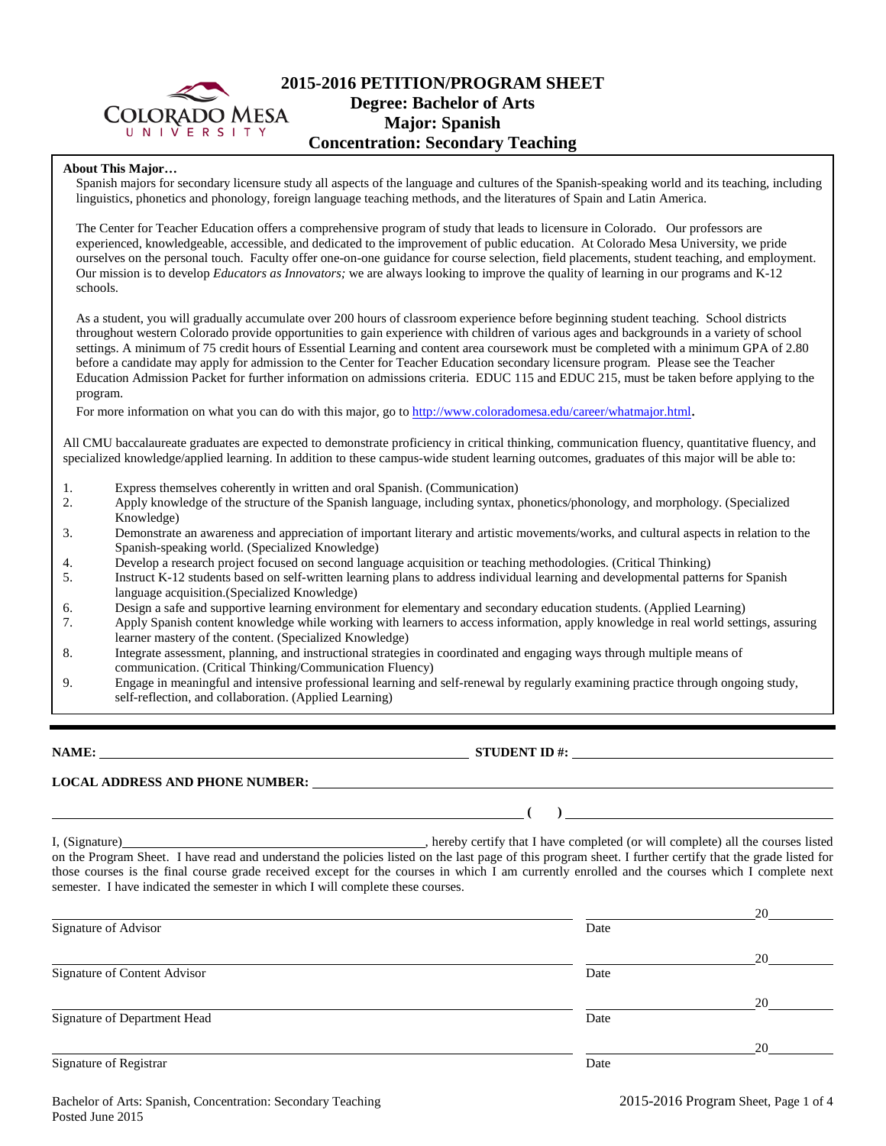

## **2015-2016 PETITION/PROGRAM SHEET Degree: Bachelor of Arts Major: Spanish Concentration: Secondary Teaching**

### **About This Major…**

Spanish majors for secondary licensure study all aspects of the language and cultures of the Spanish-speaking world and its teaching, including linguistics, phonetics and phonology, foreign language teaching methods, and the literatures of Spain and Latin America.

The Center for Teacher Education offers a comprehensive program of study that leads to licensure in Colorado. Our professors are experienced, knowledgeable, accessible, and dedicated to the improvement of public education. At Colorado Mesa University, we pride ourselves on the personal touch. Faculty offer one-on-one guidance for course selection, field placements, student teaching, and employment. Our mission is to develop *Educators as Innovators;* we are always looking to improve the quality of learning in our programs and K-12 schools.

As a student, you will gradually accumulate over 200 hours of classroom experience before beginning student teaching. School districts throughout western Colorado provide opportunities to gain experience with children of various ages and backgrounds in a variety of school settings. A minimum of 75 credit hours of Essential Learning and content area coursework must be completed with a minimum GPA of 2.80 before a candidate may apply for admission to the Center for Teacher Education secondary licensure program. Please see the Teacher Education Admission Packet for further information on admissions criteria. EDUC 115 and EDUC 215, must be taken before applying to the program.

For more information on what you can do with this major, go to [http://www.coloradomesa.edu/career/whatmajor.html.](http://www.coloradomesa.edu/career/whatmajor.html)

All CMU baccalaureate graduates are expected to demonstrate proficiency in critical thinking, communication fluency, quantitative fluency, and specialized knowledge/applied learning. In addition to these campus-wide student learning outcomes, graduates of this major will be able to:

- 1. Express themselves coherently in written and oral Spanish. (Communication)
- 2. Apply knowledge of the structure of the Spanish language, including syntax, phonetics/phonology, and morphology. (Specialized Knowledge)
- 3. Demonstrate an awareness and appreciation of important literary and artistic movements/works, and cultural aspects in relation to the Spanish-speaking world. (Specialized Knowledge)
- 4. Develop a research project focused on second language acquisition or teaching methodologies. (Critical Thinking)
- 5. Instruct K-12 students based on self-written learning plans to address individual learning and developmental patterns for Spanish language acquisition.(Specialized Knowledge)
- 6. Design a safe and supportive learning environment for elementary and secondary education students. (Applied Learning)
- 7. Apply Spanish content knowledge while working with learners to access information, apply knowledge in real world settings, assuring learner mastery of the content. (Specialized Knowledge)
- 8. Integrate assessment, planning, and instructional strategies in coordinated and engaging ways through multiple means of communication. (Critical Thinking/Communication Fluency)
- 9. Engage in meaningful and intensive professional learning and self-renewal by regularly examining practice through ongoing study, self-reflection, and collaboration. (Applied Learning)

**NAME: STUDENT ID #:** 

**LOCAL ADDRESS AND PHONE NUMBER:**

 $( )$   $)$   $)$ 

I, (Signature) , hereby certify that I have completed (or will complete) all the courses listed on the Program Sheet. I have read and understand the policies listed on the last page of this program sheet. I further certify that the grade listed for those courses is the final course grade received except for the courses in which I am currently enrolled and the courses which I complete next semester. I have indicated the semester in which I will complete these courses.

|                              |      | 20 |
|------------------------------|------|----|
| Signature of Advisor         | Date |    |
|                              |      | 20 |
| Signature of Content Advisor | Date |    |
|                              |      | 20 |
| Signature of Department Head | Date |    |
|                              |      | 20 |
| Signature of Registrar       | Date |    |
|                              |      |    |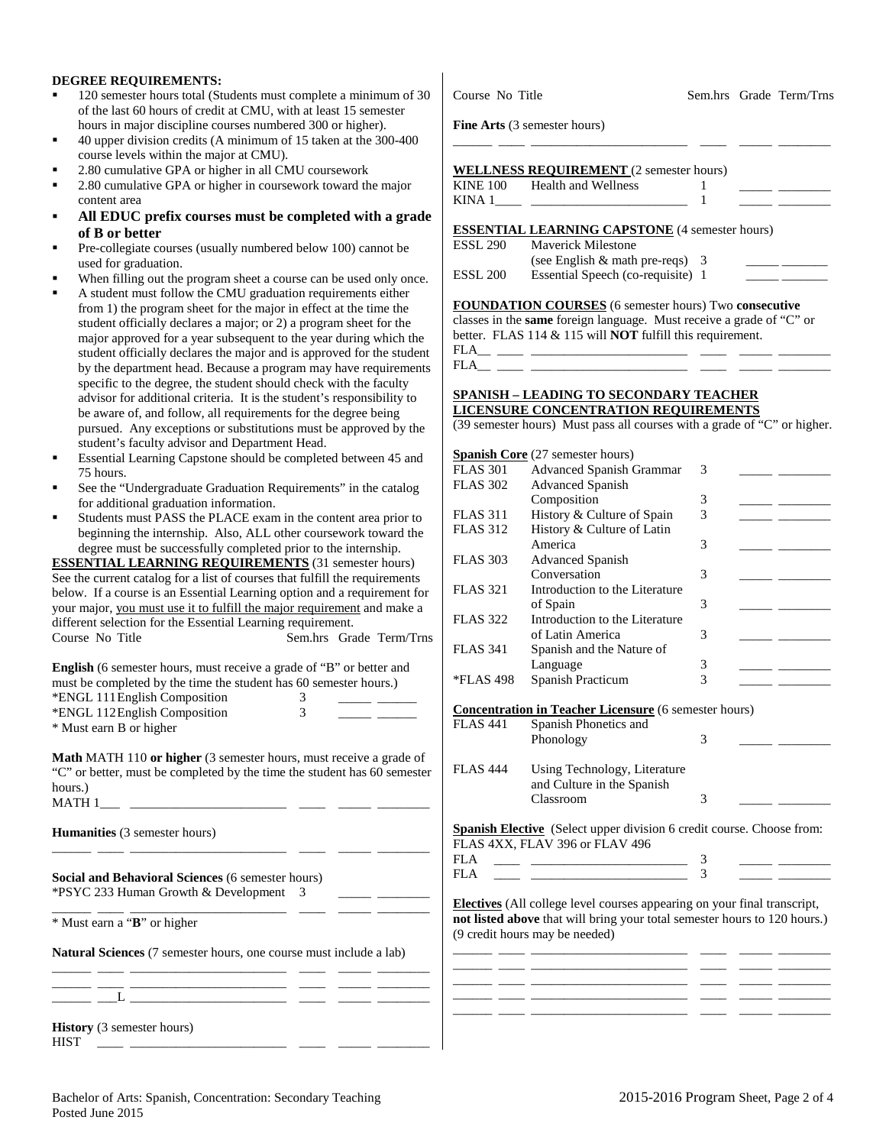#### **DEGREE REQUIREMENTS:**

- 120 semester hours total (Students must complete a minimum of 30 of the last 60 hours of credit at CMU, with at least 15 semester hours in major discipline courses numbered 300 or higher).
- 40 upper division credits (A minimum of 15 taken at the 300-400 course levels within the major at CMU).
- 2.80 cumulative GPA or higher in all CMU coursework
- 2.80 cumulative GPA or higher in coursework toward the major content area
- **All EDUC prefix courses must be completed with a grade of B or better**
- Pre-collegiate courses (usually numbered below 100) cannot be used for graduation.
- When filling out the program sheet a course can be used only once.
- A student must follow the CMU graduation requirements either from 1) the program sheet for the major in effect at the time the student officially declares a major; or 2) a program sheet for the major approved for a year subsequent to the year during which the student officially declares the major and is approved for the student by the department head. Because a program may have requirements specific to the degree, the student should check with the faculty advisor for additional criteria. It is the student's responsibility to be aware of, and follow, all requirements for the degree being pursued. Any exceptions or substitutions must be approved by the student's faculty advisor and Department Head.
- Essential Learning Capstone should be completed between 45 and 75 hours.
- See the "Undergraduate Graduation Requirements" in the catalog for additional graduation information.
- Students must PASS the PLACE exam in the content area prior to beginning the internship. Also, ALL other coursework toward the degree must be successfully completed prior to the internship.

**ESSENTIAL LEARNING REQUIREMENTS** (31 semester hours) See the current catalog for a list of courses that fulfill the requirements below. If a course is an Essential Learning option and a requirement for your major, you must use it to fulfill the major requirement and make a different selection for the Essential Learning requirement. Course No Title Sem.hrs Grade Term/Trns

**English** (6 semester hours, must receive a grade of "B" or better and must be completed by the time the student has 60 semester hours.) \*ENGL 111English Composition 3 \_\_\_\_\_ \_\_\_\_\_\_ \*ENGL 112English Composition 3 \_\_\_\_\_ \_\_\_\_\_\_ \* Must earn B or higher

**Math** MATH 110 **or higher** (3 semester hours, must receive a grade of "C" or better, must be completed by the time the student has 60 semester hours.) MATH 1\_\_\_ \_\_\_\_\_\_\_\_\_\_\_\_\_\_\_\_\_\_\_\_\_\_\_\_ \_\_\_\_ \_\_\_\_\_ \_\_\_\_\_\_\_\_

\_\_\_\_\_\_ \_\_\_\_ \_\_\_\_\_\_\_\_\_\_\_\_\_\_\_\_\_\_\_\_\_\_\_\_ \_\_\_\_ \_\_\_\_\_ \_\_\_\_\_\_\_\_

**Humanities** (3 semester hours)

**Social and Behavioral Sciences** (6 semester hours) \*PSYC 233 Human Growth & Development 3 \_\_\_\_\_ \_\_\_\_\_\_\_\_

\_\_\_\_\_\_ \_\_\_\_ \_\_\_\_\_\_\_\_\_\_\_\_\_\_\_\_\_\_\_\_\_\_\_\_ \_\_\_\_ \_\_\_\_\_ \_\_\_\_\_\_\_\_ \* Must earn a "**B**" or higher

**Natural Sciences** (7 semester hours, one course must include a lab)

|  |     | _____ |        |  |
|--|-----|-------|--------|--|
|  | ___ | _____ | ______ |  |
|  |     |       |        |  |

**History** (3 semester hours) HIST \_\_\_\_ \_\_\_\_\_\_\_\_\_\_\_\_\_\_\_\_\_\_\_\_\_\_\_\_ \_\_\_\_ \_\_\_\_\_ \_\_\_\_\_\_\_\_

Course No Title Sem.hrs Grade Term/Trns

**Fine Arts** (3 semester hours)

## **WELLNESS REQUIREMENT** (2 semester hours)

| <b>KINE 100</b> | Health and Wellness |  |  |
|-----------------|---------------------|--|--|
| KINΔ            |                     |  |  |

\_\_\_\_\_\_ \_\_\_\_ \_\_\_\_\_\_\_\_\_\_\_\_\_\_\_\_\_\_\_\_\_\_\_\_ \_\_\_\_ \_\_\_\_\_ \_\_\_\_\_\_\_\_

## **ESSENTIAL LEARNING CAPSTONE** (4 semester hours)

| ESSL 290 | <b>Maverick Milestone</b>         |  |
|----------|-----------------------------------|--|
|          | (see English $&$ math pre-reqs) 3 |  |
| ESSL 200 | Essential Speech (co-requisite) 1 |  |

#### **FOUNDATION COURSES** (6 semester hours) Two **consecutive**

classes in the **same** foreign language. Must receive a grade of "C" or better. FLAS 114 & 115 will **NOT** fulfill this requirement.

FLA\_\_ \_\_\_\_ \_\_\_\_\_\_\_\_\_\_\_\_\_\_\_\_\_\_\_\_\_\_\_\_ \_\_\_\_ \_\_\_\_\_ \_\_\_\_\_\_\_\_  $FLA$ <sub>\_\_\_</sub>\_

#### **SPANISH – LEADING TO SECONDARY TEACHER LICENSURE CONCENTRATION REQUIREMENTS**

(39 semester hours) Must pass all courses with a grade of "C" or higher.

| <b>Spanish Core</b> (27 semester hours) |                                 |   |  |  |  |  |
|-----------------------------------------|---------------------------------|---|--|--|--|--|
| <b>FLAS 301</b>                         | <b>Advanced Spanish Grammar</b> | 3 |  |  |  |  |
| <b>FLAS 302</b>                         | <b>Advanced Spanish</b>         |   |  |  |  |  |
|                                         | Composition                     | 3 |  |  |  |  |
| <b>FLAS</b> 311                         | History & Culture of Spain      | 3 |  |  |  |  |
| <b>FLAS 312</b>                         | History & Culture of Latin      |   |  |  |  |  |
|                                         | America                         | 3 |  |  |  |  |
| <b>FLAS 303</b>                         | <b>Advanced Spanish</b>         |   |  |  |  |  |
|                                         | Conversation                    | 3 |  |  |  |  |
| <b>FLAS</b> 321                         | Introduction to the Literature  |   |  |  |  |  |
|                                         | of Spain                        | 3 |  |  |  |  |
| <b>FLAS</b> 322                         | Introduction to the Literature  |   |  |  |  |  |
|                                         | of Latin America                | 3 |  |  |  |  |
| <b>FLAS 341</b>                         | Spanish and the Nature of       |   |  |  |  |  |
|                                         | Language                        | 3 |  |  |  |  |
| *FLAS 498                               | Spanish Practicum               | 3 |  |  |  |  |
|                                         |                                 |   |  |  |  |  |

#### **Concentration in Teacher Licensure** (6 semester hours)

| <b>FLAS</b> 441 | Spanish Phonetics and<br>Phonology                         | 3 |  |
|-----------------|------------------------------------------------------------|---|--|
| <b>FLAS</b> 444 | Using Technology, Literature<br>and Culture in the Spanish |   |  |
|                 | Classroom                                                  | 3 |  |

**Spanish Elective** (Select upper division 6 credit course. Choose from: FLAS 4XX, FLAV 396 or FLAV 496

| -  |                                                                                  |          |  |
|----|----------------------------------------------------------------------------------|----------|--|
| -- | ,我们也不会有什么?""我们的人,我们也不会有什么?""我们的人,我们也不会有什么?""我们的人,我们也不会有什么?""我们的人,我们也不会有什么?""我们的人 | ________ |  |

**Electives** (All college level courses appearing on your final transcript, **not listed above** that will bring your total semester hours to 120 hours.) (9 credit hours may be needed)

|  |       |        | _________ |
|--|-------|--------|-----------|
|  |       |        |           |
|  |       |        |           |
|  | _____ | ______ | _________ |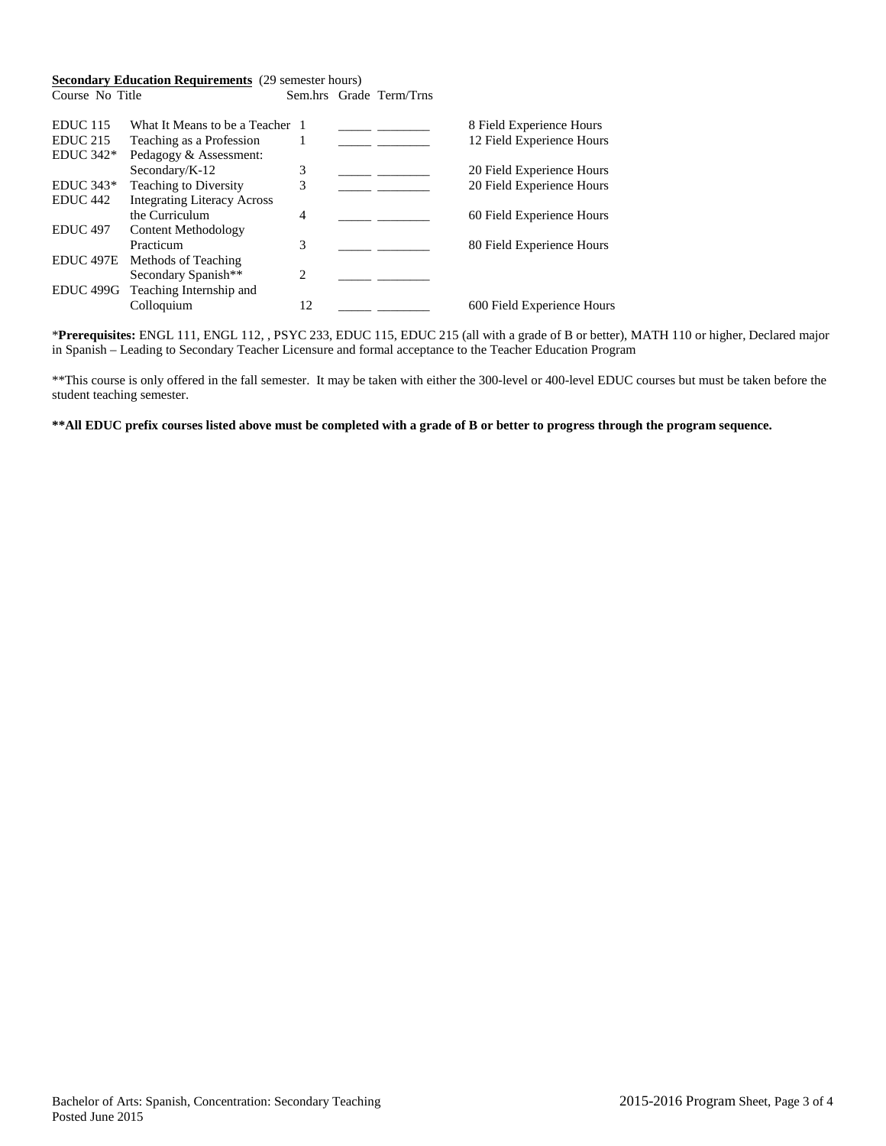#### **Secondary Education Requirements** (29 semester hours)<br>Course No Title Sem.hrs Grad Sem.hrs Grade Term/Trns

| EDUC <sub>115</sub> | What It Means to be a Teacher 1    |                |  | 8 Field Experience Hours   |
|---------------------|------------------------------------|----------------|--|----------------------------|
| $EDUC$ 215          | Teaching as a Profession           |                |  | 12 Field Experience Hours  |
| EDUC $342*$         | Pedagogy & Assessment:             |                |  |                            |
|                     | Secondary/K-12                     | 3              |  | 20 Field Experience Hours  |
| $EDUC 343*$         | Teaching to Diversity              | 3              |  | 20 Field Experience Hours  |
| EDUC <sub>442</sub> | <b>Integrating Literacy Across</b> |                |  |                            |
|                     | the Curriculum                     | 4              |  | 60 Field Experience Hours  |
| <b>EDUC</b> 497     | Content Methodology                |                |  |                            |
|                     | Practicum                          | 3              |  | 80 Field Experience Hours  |
| EDUC 497E           | Methods of Teaching                |                |  |                            |
|                     | Secondary Spanish**                | $\mathfrak{D}$ |  |                            |
| EDUC 499G           | Teaching Internship and            |                |  |                            |
|                     | Colloquium                         | 12             |  | 600 Field Experience Hours |

\***Prerequisites:** ENGL 111, ENGL 112, , PSYC 233, EDUC 115, EDUC 215 (all with a grade of B or better), MATH 110 or higher, Declared major in Spanish – Leading to Secondary Teacher Licensure and formal acceptance to the Teacher Education Program

\*\*This course is only offered in the fall semester. It may be taken with either the 300-level or 400-level EDUC courses but must be taken before the student teaching semester.

## **\*\*All EDUC prefix courses listed above must be completed with a grade of B or better to progress through the program sequence.**